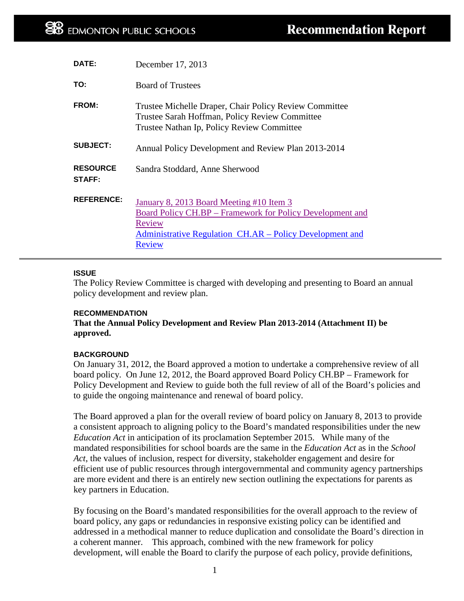| DATE:                            | December 17, 2013                                                                                                                                                                            |
|----------------------------------|----------------------------------------------------------------------------------------------------------------------------------------------------------------------------------------------|
| TO:                              | <b>Board of Trustees</b>                                                                                                                                                                     |
| <b>FROM:</b>                     | Trustee Michelle Draper, Chair Policy Review Committee<br>Trustee Sarah Hoffman, Policy Review Committee<br>Trustee Nathan Ip, Policy Review Committee                                       |
| <b>SUBJECT:</b>                  | Annual Policy Development and Review Plan 2013-2014                                                                                                                                          |
| <b>RESOURCE</b><br><b>STAFF:</b> | Sandra Stoddard, Anne Sherwood                                                                                                                                                               |
| <b>REFERENCE:</b>                | January 8, 2013 Board Meeting #10 Item 3<br><b>Board Policy CH.BP – Framework for Policy Development and</b><br>Review<br>Administrative Regulation CH.AR – Policy Development and<br>Review |

## **ISSUE**

The Policy Review Committee is charged with developing and presenting to Board an annual policy development and review plan.

#### **RECOMMENDATION**

**That the Annual Policy Development and Review Plan 2013-2014 (Attachment II) be approved.** 

#### **BACKGROUND**

On January 31, 2012, the Board approved a motion to undertake a comprehensive review of all board policy. On June 12, 2012, the Board approved Board Policy CH.BP – Framework for Policy Development and Review to guide both the full review of all of the Board's policies and to guide the ongoing maintenance and renewal of board policy.

The Board approved a plan for the overall review of board policy on January 8, 2013 to provide a consistent approach to aligning policy to the Board's mandated responsibilities under the new *Education Act* in anticipation of its proclamation September 2015. While many of the mandated responsibilities for school boards are the same in the *Education Act* as in the *School Act*, the values of inclusion, respect for diversity, stakeholder engagement and desire for efficient use of public resources through intergovernmental and community agency partnerships are more evident and there is an entirely new section outlining the expectations for parents as key partners in Education.

By focusing on the Board's mandated responsibilities for the overall approach to the review of board policy, any gaps or redundancies in responsive existing policy can be identified and addressed in a methodical manner to reduce duplication and consolidate the Board's direction in a coherent manner. This approach, combined with the new framework for policy development, will enable the Board to clarify the purpose of each policy, provide definitions,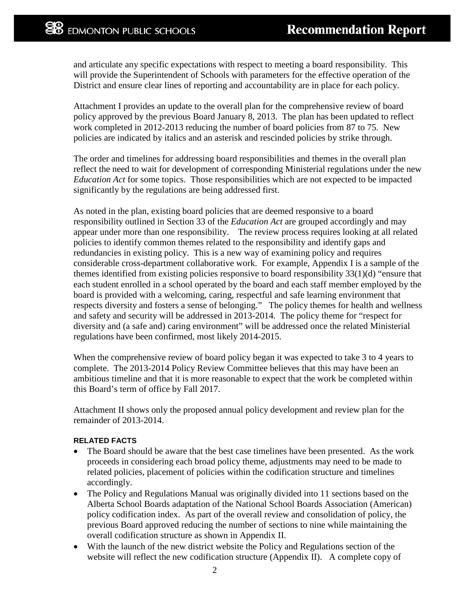and articulate any specific expectations with respect to meeting a board responsibility. This will provide the Superintendent of Schools with parameters for the effective operation of the District and ensure clear lines of reporting and accountability are in place for each policy.

Attachment I provides an update to the overall plan for the comprehensive review of board policy approved by the previous Board January 8, 2013. The plan has been updated to reflect work completed in 2012-2013 reducing the number of board policies from 87 to 75. New policies are indicated by italics and an asterisk and rescinded policies by strike through.

The order and timelines for addressing board responsibilities and themes in the overall plan reflect the need to wait for development of corresponding Ministerial regulations under the new *Education Act* for some topics. Those responsibilities which are not expected to be impacted significantly by the regulations are being addressed first.

As noted in the plan, existing board policies that are deemed responsive to a board responsibility outlined in Section 33 of the *Education Act* are grouped accordingly and may appear under more than one responsibility. The review process requires looking at all related policies to identify common themes related to the responsibility and identify gaps and redundancies in existing policy. This is a new way of examining policy and requires considerable cross-department collaborative work. For example, Appendix I is a sample of the themes identified from existing policies responsive to board responsibility 33(1)(d) "ensure that each student enrolled in a school operated by the board and each staff member employed by the board is provided with a welcoming, caring, respectful and safe learning environment that respects diversity and fosters a sense of belonging." The policy themes for health and wellness and safety and security will be addressed in 2013-2014. The policy theme for "respect for diversity and (a safe and) caring environment" will be addressed once the related Ministerial regulations have been confirmed, most likely 2014-2015.

When the comprehensive review of board policy began it was expected to take 3 to 4 years to complete. The 2013-2014 Policy Review Committee believes that this may have been an ambitious timeline and that it is more reasonable to expect that the work be completed within this Board's term of office by Fall 2017.

Attachment II shows only the proposed annual policy development and review plan for the remainder of 2013-2014.

## **RELATED FACTS**

- The Board should be aware that the best case timelines have been presented. As the work proceeds in considering each broad policy theme, adjustments may need to be made to related policies, placement of policies within the codification structure and timelines accordingly.
- The Policy and Regulations Manual was originally divided into 11 sections based on the Alberta School Boards adaptation of the National School Boards Association (American) policy codification index. As part of the overall review and consolidation of policy, the previous Board approved reducing the number of sections to nine while maintaining the overall codification structure as shown in Appendix II.
- With the launch of the new district website the Policy and Regulations section of the website will reflect the new codification structure (Appendix II). A complete copy of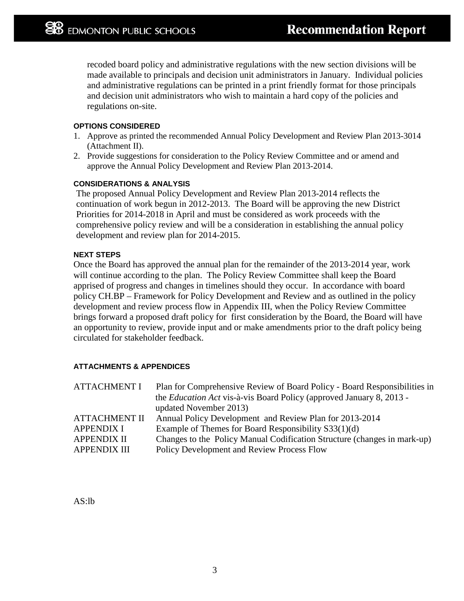recoded board policy and administrative regulations with the new section divisions will be made available to principals and decision unit administrators in January. Individual policies and administrative regulations can be printed in a print friendly format for those principals and decision unit administrators who wish to maintain a hard copy of the policies and regulations on-site.

## **OPTIONS CONSIDERED**

- 1. Approve as printed the recommended Annual Policy Development and Review Plan 2013-3014 (Attachment II).
- 2. Provide suggestions for consideration to the Policy Review Committee and or amend and approve the Annual Policy Development and Review Plan 2013-2014.

## **CONSIDERATIONS & ANALYSIS**

The proposed Annual Policy Development and Review Plan 2013-2014 reflects the continuation of work begun in 2012-2013. The Board will be approving the new District Priorities for 2014-2018 in April and must be considered as work proceeds with the comprehensive policy review and will be a consideration in establishing the annual policy development and review plan for 2014-2015.

## **NEXT STEPS**

Once the Board has approved the annual plan for the remainder of the 2013-2014 year, work will continue according to the plan. The Policy Review Committee shall keep the Board apprised of progress and changes in timelines should they occur. In accordance with board policy CH.BP – Framework for Policy Development and Review and as outlined in the policy development and review process flow in Appendix III, when the Policy Review Committee brings forward a proposed draft policy for first consideration by the Board, the Board will have an opportunity to review, provide input and or make amendments prior to the draft policy being circulated for stakeholder feedback.

## **ATTACHMENTS & APPENDICES**

| <b>ATTACHMENT I</b>  | Plan for Comprehensive Review of Board Policy - Board Responsibilities in   |
|----------------------|-----------------------------------------------------------------------------|
|                      | the <i>Education Act</i> vis-à-vis Board Policy (approved January 8, 2013 - |
|                      | updated November 2013)                                                      |
| <b>ATTACHMENT II</b> | Annual Policy Development and Review Plan for 2013-2014                     |
| <b>APPENDIX I</b>    | Example of Themes for Board Responsibility S33(1)(d)                        |
| <b>APPENDIX II</b>   | Changes to the Policy Manual Codification Structure (changes in mark-up)    |
| <b>APPENDIX III</b>  | Policy Development and Review Process Flow                                  |

AS:lb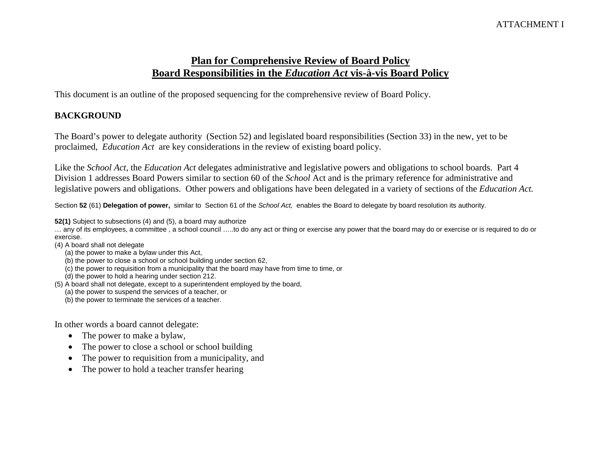# ATTACHMENT I

# **Plan for Comprehensive Review of Board Policy Board Responsibilities in the** *Education Act* **vis-à-vis Board Policy**

This document is an outline of the proposed sequencing for the comprehensive review of Board Policy.

# **BACKGROUND**

The Board's power to delegate authority (Section 52) and legislated board responsibilities (Section 33) in the new, yet to be proclaimed, *Education Act* are key considerations in the review of existing board policy.

Like the *School Act,* the *Education Act* delegates administrative and legislative powers and obligations to school boards. Part 4 Division 1 addresses Board Powers similar to section 60 of the *School* Act and is the primary reference for administrative and legislative powers and obligations. Other powers and obligations have been delegated in a variety of sections of the *Education Act.* 

Section **52** (61) **Delegation of power,** similar to Section 61 of the *School Act,* enables the Board to delegate by board resolution its authority.

**52(1)** Subject to subsections (4) and (5), a board may authorize

… any of its employees, a committee , a school council …..to do any act or thing or exercise any power that the board may do or exercise or is required to do or exercise.

- (4) A board shall not delegate
	- (a) the power to make a bylaw under this Act,
	- (b) the power to close a school or school building under section 62,
	- (c) the power to requisition from a municipality that the board may have from time to time, or
	- (d) the power to hold a hearing under section 212.
- (5) A board shall not delegate, except to a superintendent employed by the board,
	- (a) the power to suspend the services of a teacher, or
	- (b) the power to terminate the services of a teacher.

In other words a board cannot delegate:

- The power to make a bylaw,
- The power to close a school or school building
- The power to requisition from a municipality, and
- The power to hold a teacher transfer hearing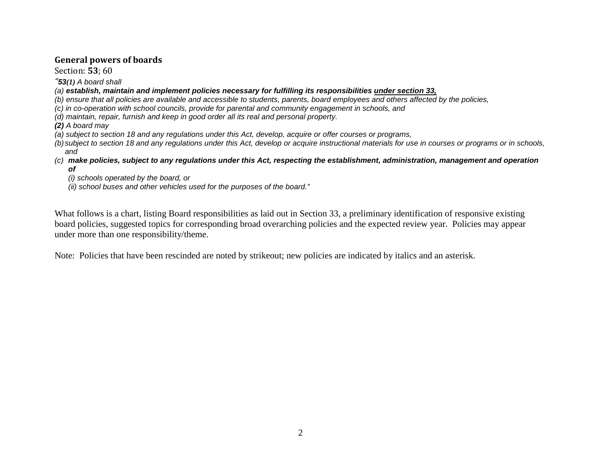## **General powers of boards**

Section: **53**; 60

*"53(1) A board shall*

*(a) establish, maintain and implement policies necessary for fulfilling its responsibilities under section 33,*

*(b) ensure that all policies are available and accessible to students, parents, board employees and others affected by the policies,*

*(c) in co-operation with school councils, provide for parental and community engagement in schools, and*

*(d) maintain, repair, furnish and keep in good order all its real and personal property.*

*(2) A board may*

*(a) subject to section 18 and any regulations under this Act, develop, acquire or offer courses or programs,*

*(b) subject to section 18 and any regulations under this Act, develop or acquire instructional materials for use in courses or programs or in schools, and*

*(c) make policies, subject to any regulations under this Act, respecting the establishment, administration, management and operation of*

*(i) schools operated by the board, or*

*(ii) school buses and other vehicles used for the purposes of the board."*

What follows is a chart, listing Board responsibilities as laid out in Section 33, a preliminary identification of responsive existing board policies, suggested topics for corresponding broad overarching policies and the expected review year. Policies may appear under more than one responsibility/theme.

Note: Policies that have been rescinded are noted by strikeout; new policies are indicated by italics and an asterisk.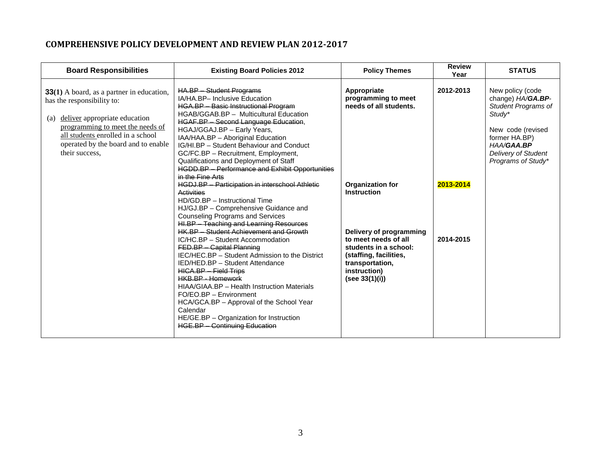# **COMPREHENSIVE POLICY DEVELOPMENT AND REVIEW PLAN 2012-2017**

| <b>Board Responsibilities</b>                                                                                                                                                                                                                            | <b>Existing Board Policies 2012</b>                                                                                                                                                                                                                                                                                                                                                                                                                                                 | <b>Policy Themes</b>                                                                                                                                    | <b>Review</b><br>Year | <b>STATUS</b>                                                                                                                                                                  |
|----------------------------------------------------------------------------------------------------------------------------------------------------------------------------------------------------------------------------------------------------------|-------------------------------------------------------------------------------------------------------------------------------------------------------------------------------------------------------------------------------------------------------------------------------------------------------------------------------------------------------------------------------------------------------------------------------------------------------------------------------------|---------------------------------------------------------------------------------------------------------------------------------------------------------|-----------------------|--------------------------------------------------------------------------------------------------------------------------------------------------------------------------------|
| <b>33(1)</b> A board, as a partner in education,<br>has the responsibility to:<br>deliver appropriate education<br>(a)<br>programming to meet the needs of<br>all students enrolled in a school<br>operated by the board and to enable<br>their success, | <b>HA.BP - Student Programs</b><br>IA/HA.BP- Inclusive Education<br><b>HGA.BP</b> - Basic Instructional Program<br>HGAB/GGAB.BP - Multicultural Education<br>HGAF.BP - Second Language Education,<br>HGAJ/GGAJ.BP - Early Years,<br>IAA/HAA.BP - Aboriginal Education<br>IG/HI.BP - Student Behaviour and Conduct<br>GC/FC.BP - Recruitment, Employment,<br>Qualifications and Deployment of Staff<br><b>HGDD.BP</b> - Performance and Exhibit Opportunities<br>in the Fine Arts    | Appropriate<br>programming to meet<br>needs of all students.                                                                                            | 2012-2013             | New policy (code<br>change) HA/GA.BP-<br><b>Student Programs of</b><br>Study*<br>New code (revised<br>former HA.BP)<br>HAA/GAA.BP<br>Delivery of Student<br>Programs of Study* |
|                                                                                                                                                                                                                                                          | <b>HGDJ.BP</b> - Participation in interschool Athletic<br><b>Activities</b><br>HD/GD.BP - Instructional Time<br>HJ/GJ.BP - Comprehensive Guidance and<br><b>Counseling Programs and Services</b><br>HI.BP - Teaching and Learning Resources                                                                                                                                                                                                                                         | Organization for<br><b>Instruction</b>                                                                                                                  | 2013-2014             |                                                                                                                                                                                |
|                                                                                                                                                                                                                                                          | <b>HK.BP - Student Achievement and Growth</b><br>IC/HC.BP - Student Accommodation<br>FED.BP - Capital Planning<br>IEC/HEC.BP - Student Admission to the District<br>IED/HED.BP - Student Attendance<br><b>HICA.BP - Field Trips</b><br><b>HKB.BP - Homework</b><br>HIAA/GIAA.BP - Health Instruction Materials<br>FO/EO.BP - Environment<br>HCA/GCA.BP - Approval of the School Year<br>Calendar<br>HE/GE.BP - Organization for Instruction<br><b>HGE.BP - Continuing Education</b> | Delivery of programming<br>to meet needs of all<br>students in a school:<br>(staffing, facilities,<br>transportation,<br>instruction)<br>(see 33(1)(i)) | 2014-2015             |                                                                                                                                                                                |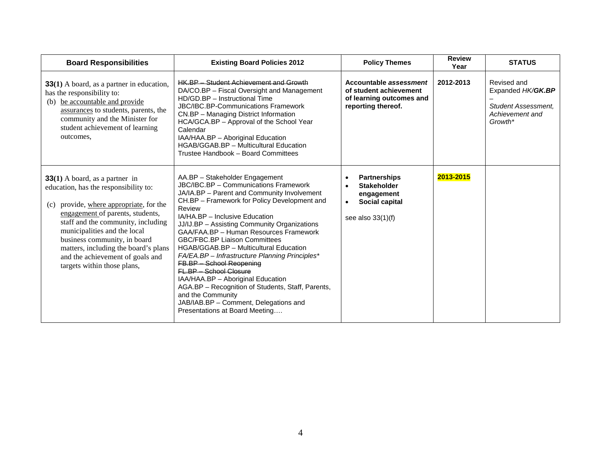| <b>Board Responsibilities</b>                                                                                                                                                                                                                                                                                                                                                | <b>Existing Board Policies 2012</b>                                                                                                                                                                                                                                                                                                                                                                                                                                                                                                                                                                                                                                                              | <b>Policy Themes</b>                                                                                                       | <b>Review</b><br>Year | <b>STATUS</b>                                                                                |
|------------------------------------------------------------------------------------------------------------------------------------------------------------------------------------------------------------------------------------------------------------------------------------------------------------------------------------------------------------------------------|--------------------------------------------------------------------------------------------------------------------------------------------------------------------------------------------------------------------------------------------------------------------------------------------------------------------------------------------------------------------------------------------------------------------------------------------------------------------------------------------------------------------------------------------------------------------------------------------------------------------------------------------------------------------------------------------------|----------------------------------------------------------------------------------------------------------------------------|-----------------------|----------------------------------------------------------------------------------------------|
| <b>33(1)</b> A board, as a partner in education,<br>has the responsibility to:<br>be accountable and provide<br>(b)<br>assurances to students, parents, the<br>community and the Minister for<br>student achievement of learning<br>outcomes,                                                                                                                                | <b>HK.BP</b> - Student Achievement and Growth<br>DA/CO.BP – Fiscal Oversight and Management<br>HD/GD.BP - Instructional Time<br>JBC/IBC.BP-Communications Framework<br>CN.BP - Managing District Information<br>HCA/GCA.BP - Approval of the School Year<br>Calendar<br>IAA/HAA.BP - Aboriginal Education<br>HGAB/GGAB.BP - Multicultural Education<br>Trustee Handbook - Board Committees                                                                                                                                                                                                                                                                                                       | Accountable assessment<br>of student achievement<br>of learning outcomes and<br>reporting thereof.                         | 2012-2013             | Revised and<br>Expanded HK/GK.BP<br><b>Student Assessment.</b><br>Achievement and<br>Growth* |
| $33(1)$ A board, as a partner in<br>education, has the responsibility to:<br>provide, where appropriate, for the<br>(c)<br>engagement of parents, students,<br>staff and the community, including<br>municipalities and the local<br>business community, in board<br>matters, including the board's plans<br>and the achievement of goals and<br>targets within those plans, | AA.BP - Stakeholder Engagement<br>JBC/IBC.BP - Communications Framework<br>JA/IA.BP - Parent and Community Involvement<br>CH.BP - Framework for Policy Development and<br>Review<br>IA/HA.BP - Inclusive Education<br>JJ/IJ.BP - Assisting Community Organizations<br>GAA/FAA.BP - Human Resources Framework<br><b>GBC/FBC.BP Liaison Committees</b><br>HGAB/GGAB.BP - Multicultural Education<br>FA/EA.BP - Infrastructure Planning Principles*<br>FB.BP - School Reopening<br>FL.BP - School Closure<br>IAA/HAA.BP - Aboriginal Education<br>AGA.BP - Recognition of Students, Staff, Parents,<br>and the Community<br>JAB/IAB.BP - Comment, Delegations and<br>Presentations at Board Meeting | <b>Partnerships</b><br><b>Stakeholder</b><br>$\bullet$<br>engagement<br>Social capital<br>$\bullet$<br>see also $33(1)(f)$ | 2013-2015             |                                                                                              |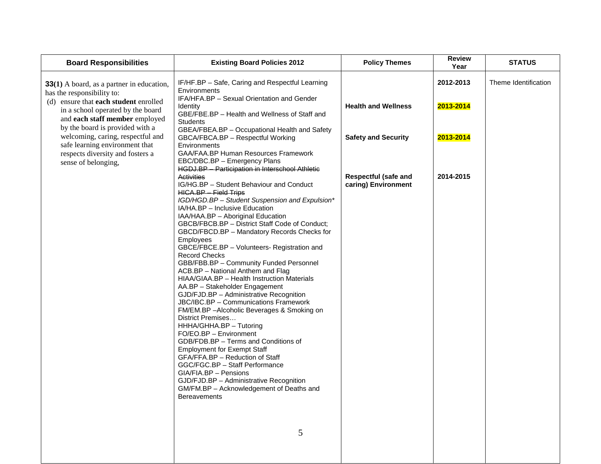| <b>Board Responsibilities</b>                                                                                                                                                                                                                                                                                                                                  | <b>Existing Board Policies 2012</b>                                                                                                                                                                                                                                                                                                                                                                                                                                                                                                                                                                                                                                                                                                                                                                                                                         | <b>Policy Themes</b>                                                                                           | <b>Review</b><br>Year                            | <b>STATUS</b>        |
|----------------------------------------------------------------------------------------------------------------------------------------------------------------------------------------------------------------------------------------------------------------------------------------------------------------------------------------------------------------|-------------------------------------------------------------------------------------------------------------------------------------------------------------------------------------------------------------------------------------------------------------------------------------------------------------------------------------------------------------------------------------------------------------------------------------------------------------------------------------------------------------------------------------------------------------------------------------------------------------------------------------------------------------------------------------------------------------------------------------------------------------------------------------------------------------------------------------------------------------|----------------------------------------------------------------------------------------------------------------|--------------------------------------------------|----------------------|
| $33(1)$ A board, as a partner in education,<br>has the responsibility to:<br>(d) ensure that each student enrolled<br>in a school operated by the board<br>and each staff member employed<br>by the board is provided with a<br>welcoming, caring, respectful and<br>safe learning environment that<br>respects diversity and fosters a<br>sense of belonging, | IF/HF.BP - Safe, Caring and Respectful Learning<br>Environments<br>IFA/HFA.BP - Sexual Orientation and Gender<br><b>Identity</b><br>GBE/FBE.BP - Health and Wellness of Staff and<br><b>Students</b><br>GBEA/FBEA.BP - Occupational Health and Safety<br>GBCA/FBCA.BP - Respectful Working<br>Environments<br>GAA/FAA.BP Human Resources Framework<br>EBC/DBC.BP - Emergency Plans<br><b>HGDJ.BP</b> - Participation in Interschool Athletic<br><b>Activities</b><br>IG/HG.BP - Student Behaviour and Conduct<br><b>HICA.BP - Field Trips</b><br>IGD/HGD.BP - Student Suspension and Expulsion*<br>IA/HA.BP - Inclusive Education<br>IAA/HAA.BP - Aboriginal Education<br>GBCB/FBCB.BP - District Staff Code of Conduct;<br>GBCD/FBCD.BP - Mandatory Records Checks for<br>Employees<br>GBCE/FBCE.BP - Volunteers- Registration and<br><b>Record Checks</b> | <b>Health and Wellness</b><br><b>Safety and Security</b><br><b>Respectful (safe and</b><br>caring) Environment | 2012-2013<br>2013-2014<br>2013-2014<br>2014-2015 | Theme Identification |
|                                                                                                                                                                                                                                                                                                                                                                | GBB/FBB.BP - Community Funded Personnel<br>ACB.BP - National Anthem and Flag<br>HIAA/GIAA.BP - Health Instruction Materials<br>AA.BP - Stakeholder Engagement<br>GJD/FJD.BP - Administrative Recognition<br>JBC/IBC.BP - Communications Framework<br>FM/EM.BP-Alcoholic Beverages & Smoking on<br>District Premises<br>HHHA/GHHA.BP - Tutoring<br>FO/EO.BP - Environment<br>GDB/FDB.BP - Terms and Conditions of<br><b>Employment for Exempt Staff</b><br>GFA/FFA.BP - Reduction of Staff<br>GGC/FGC.BP - Staff Performance<br>GIA/FIA.BP - Pensions<br>GJD/FJD.BP - Administrative Recognition<br>GM/FM.BP - Acknowledgement of Deaths and<br><b>Bereavements</b>                                                                                                                                                                                          |                                                                                                                |                                                  |                      |
|                                                                                                                                                                                                                                                                                                                                                                | 5                                                                                                                                                                                                                                                                                                                                                                                                                                                                                                                                                                                                                                                                                                                                                                                                                                                           |                                                                                                                |                                                  |                      |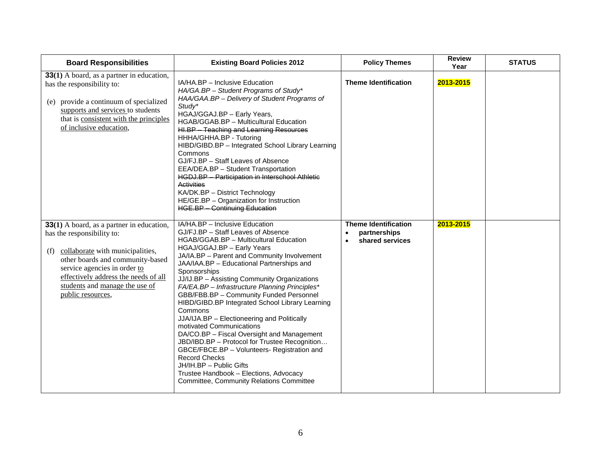| <b>Board Responsibilities</b>                                                                                                                                                                                                                                                         | <b>Existing Board Policies 2012</b>                                                                                                                                                                                                                                                                                                                                                                                                                                                                                                                                                                                                                                                                                                                                                                                                          | <b>Policy Themes</b>                                                        | <b>Review</b><br>Year | <b>STATUS</b> |
|---------------------------------------------------------------------------------------------------------------------------------------------------------------------------------------------------------------------------------------------------------------------------------------|----------------------------------------------------------------------------------------------------------------------------------------------------------------------------------------------------------------------------------------------------------------------------------------------------------------------------------------------------------------------------------------------------------------------------------------------------------------------------------------------------------------------------------------------------------------------------------------------------------------------------------------------------------------------------------------------------------------------------------------------------------------------------------------------------------------------------------------------|-----------------------------------------------------------------------------|-----------------------|---------------|
| 33(1) A board, as a partner in education,<br>has the responsibility to:<br>(e) provide a continuum of specialized<br>supports and services to students<br>that is consistent with the principles<br>of inclusive education,                                                           | IA/HA.BP - Inclusive Education<br>HA/GA.BP - Student Programs of Study*<br>HAA/GAA.BP - Delivery of Student Programs of<br>Study*<br>HGAJ/GGAJ.BP - Early Years,<br>HGAB/GGAB.BP - Multicultural Education<br>HI.BP - Teaching and Learning Resources<br>HHHA/GHHA.BP - Tutoring<br>HIBD/GIBD.BP - Integrated School Library Learning<br>Commons<br>GJ/FJ.BP - Staff Leaves of Absence<br>EEA/DEA.BP - Student Transportation<br><b>HGDJ.BP - Participation in Interschool Athletic</b><br><b>Activities</b><br>KA/DK.BP - District Technology<br>HE/GE.BP - Organization for Instruction<br><b>HGE.BP - Continuing Education</b>                                                                                                                                                                                                            | <b>Theme Identification</b>                                                 | 2013-2015             |               |
| 33(1) A board, as a partner in education,<br>has the responsibility to:<br>collaborate with municipalities,<br>(f)<br>other boards and community-based<br>service agencies in order to<br>effectively address the needs of all<br>students and manage the use of<br>public resources, | IA/HA.BP - Inclusive Education<br>GJ/FJ.BP - Staff Leaves of Absence<br>HGAB/GGAB.BP - Multicultural Education<br>HGAJ/GGAJ.BP - Early Years<br>JA/IA.BP - Parent and Community Involvement<br>JAA/IAA.BP - Educational Partnerships and<br>Sponsorships<br>JJ/IJ.BP - Assisting Community Organizations<br>FA/EA.BP - Infrastructure Planning Principles*<br>GBB/FBB.BP - Community Funded Personnel<br>HIBD/GIBD.BP Integrated School Library Learning<br>Commons<br>JJA/IJA.BP - Electioneering and Politically<br>motivated Communications<br>DA/CO.BP - Fiscal Oversight and Management<br>JBD/IBD.BP - Protocol for Trustee Recognition<br>GBCE/FBCE.BP - Volunteers- Registration and<br><b>Record Checks</b><br>JH/IH.BP - Public Gifts<br>Trustee Handbook - Elections, Advocacy<br><b>Committee, Community Relations Committee</b> | <b>Theme Identification</b><br>partnerships<br>$\bullet$<br>shared services | 2013-2015             |               |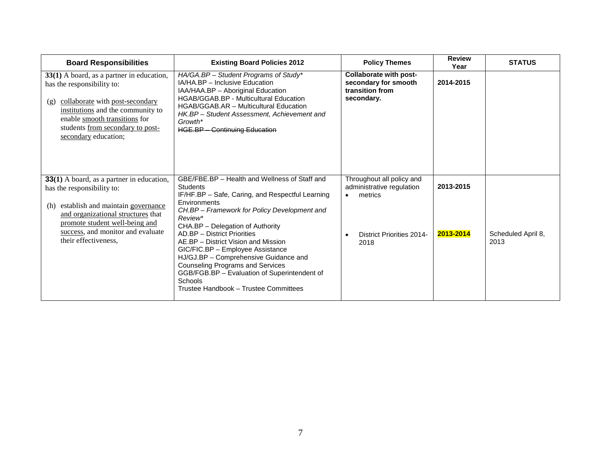| <b>Board Responsibilities</b>                                                                                                                                                                                                                                   | <b>Existing Board Policies 2012</b>                                                                                                                                                                                                                                                                                                                                                                                                                                                                                                   | <b>Policy Themes</b>                                                                                          | <b>Review</b><br>Year  | <b>STATUS</b>              |
|-----------------------------------------------------------------------------------------------------------------------------------------------------------------------------------------------------------------------------------------------------------------|---------------------------------------------------------------------------------------------------------------------------------------------------------------------------------------------------------------------------------------------------------------------------------------------------------------------------------------------------------------------------------------------------------------------------------------------------------------------------------------------------------------------------------------|---------------------------------------------------------------------------------------------------------------|------------------------|----------------------------|
| 33(1) A board, as a partner in education,<br>has the responsibility to:<br>collaborate with post-secondary<br>(g)<br>institutions and the community to<br>enable smooth transitions for<br>students from secondary to post-<br>secondary education;             | HA/GA.BP - Student Programs of Study*<br>IA/HA.BP - Inclusive Education<br>IAA/HAA.BP - Aboriginal Education<br>HGAB/GGAB.BP - Multicultural Education<br><b>HGAB/GGAB.AR - Multicultural Education</b><br>HK.BP - Student Assessment, Achievement and<br>Growth*<br><b>HGE.BP - Continuing Education</b>                                                                                                                                                                                                                             | Collaborate with post-<br>secondary for smooth<br>transition from<br>secondary.                               | 2014-2015              |                            |
| <b>33(1)</b> A board, as a partner in education,<br>has the responsibility to:<br>establish and maintain governance<br>(h)<br>and organizational structures that<br>promote student well-being and<br>success, and monitor and evaluate<br>their effectiveness. | GBE/FBE.BP - Health and Wellness of Staff and<br><b>Students</b><br>IF/HF.BP - Safe, Caring, and Respectful Learning<br>Environments<br>CH.BP - Framework for Policy Development and<br>Review*<br>CHA.BP - Delegation of Authority<br>AD.BP - District Priorities<br>AE.BP – District Vision and Mission<br>GIC/FIC.BP - Employee Assistance<br>HJ/GJ.BP - Comprehensive Guidance and<br><b>Counseling Programs and Services</b><br>GGB/FGB.BP - Evaluation of Superintendent of<br>Schools<br>Trustee Handbook - Trustee Committees | Throughout all policy and<br>administrative regulation<br>metrics<br><b>District Priorities 2014-</b><br>2018 | 2013-2015<br>2013-2014 | Scheduled April 8,<br>2013 |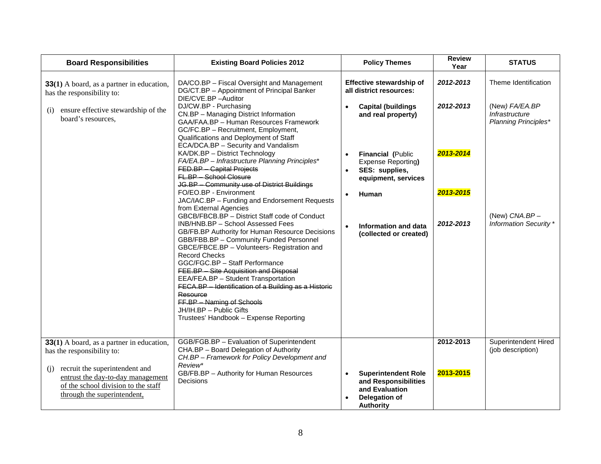| <b>Board Responsibilities</b>                                                                                                                                                                                               | <b>Existing Board Policies 2012</b>                                                                                                                                                                                                                                                                                                                                                                                                                                                                                                                                                                                                                                                                                                                                                                                                                                                                                                                                                                                                                                                                       | <b>Policy Themes</b>                                                                                                                                                                                                                                       | <b>Review</b><br>Year                            | <b>STATUS</b>                                                                                             |
|-----------------------------------------------------------------------------------------------------------------------------------------------------------------------------------------------------------------------------|-----------------------------------------------------------------------------------------------------------------------------------------------------------------------------------------------------------------------------------------------------------------------------------------------------------------------------------------------------------------------------------------------------------------------------------------------------------------------------------------------------------------------------------------------------------------------------------------------------------------------------------------------------------------------------------------------------------------------------------------------------------------------------------------------------------------------------------------------------------------------------------------------------------------------------------------------------------------------------------------------------------------------------------------------------------------------------------------------------------|------------------------------------------------------------------------------------------------------------------------------------------------------------------------------------------------------------------------------------------------------------|--------------------------------------------------|-----------------------------------------------------------------------------------------------------------|
| 33(1) A board, as a partner in education,<br>has the responsibility to:                                                                                                                                                     | DA/CO.BP - Fiscal Oversight and Management<br>DG/CT.BP - Appointment of Principal Banker                                                                                                                                                                                                                                                                                                                                                                                                                                                                                                                                                                                                                                                                                                                                                                                                                                                                                                                                                                                                                  | Effective stewardship of<br>all district resources:                                                                                                                                                                                                        | 2012-2013                                        | Theme Identification                                                                                      |
| ensure effective stewardship of the<br>(i)<br>board's resources,                                                                                                                                                            | DIE/CVE.BP-Auditor<br>DJ/CW.BP - Purchasing<br>CN.BP - Managing District Information<br>GAA/FAA.BP - Human Resources Framework<br>GC/FC.BP - Recruitment, Employment,<br>Qualifications and Deployment of Staff<br>ECA/DCA.BP - Security and Vandalism<br>KA/DK.BP - District Technology<br>FA/EA.BP - Infrastructure Planning Principles*<br>FED.BP - Capital Projects<br>FL.BP - School Closure<br>JG.BP - Community use of District Buildings<br>FO/EO.BP - Environment<br>JAC/IAC.BP - Funding and Endorsement Requests<br>from External Agencies<br>GBCB/FBCB.BP - District Staff code of Conduct<br>INB/HNB.BP - School Assessed Fees<br>GB/FB.BP Authority for Human Resource Decisions<br>GBB/FBB.BP - Community Funded Personnel<br>GBCE/FBCE.BP - Volunteers- Registration and<br><b>Record Checks</b><br>GGC/FGC.BP - Staff Performance<br>FEE.BP - Site Acquisition and Disposal<br>EEA/FEA.BP - Student Transportation<br>FECA.BP - Identification of a Building as a Historic<br>Resource<br>FF.BP - Naming of Schools<br>JH/IH.BP - Public Gifts<br>Trustees' Handbook - Expense Reporting | <b>Capital (buildings)</b><br>$\bullet$<br>and real property)<br>Financial (Public<br>Expense Reporting)<br>SES: supplies,<br>$\bullet$<br>equipment, services<br>Human<br>$\bullet$<br><b>Information and data</b><br>$\bullet$<br>(collected or created) | 2012-2013<br>2013-2014<br>2013-2015<br>2012-2013 | (New) FA/EA.BP<br>Infrastructure<br><b>Planning Principles*</b><br>(New) CNA.BP-<br>Information Security* |
| 33(1) A board, as a partner in education,<br>has the responsibility to:<br>recruit the superintendent and<br>(i)<br>entrust the day-to-day management<br>of the school division to the staff<br>through the superintendent, | GGB/FGB.BP - Evaluation of Superintendent<br>CHA.BP - Board Delegation of Authority<br>CH.BP - Framework for Policy Development and<br>Review*<br>GB/FB.BP - Authority for Human Resources<br>Decisions                                                                                                                                                                                                                                                                                                                                                                                                                                                                                                                                                                                                                                                                                                                                                                                                                                                                                                   | <b>Superintendent Role</b><br>$\bullet$<br>and Responsibilities<br>and Evaluation<br><b>Delegation of</b><br><b>Authority</b>                                                                                                                              | 2012-2013<br>2013-2015                           | Superintendent Hired<br>(job description)                                                                 |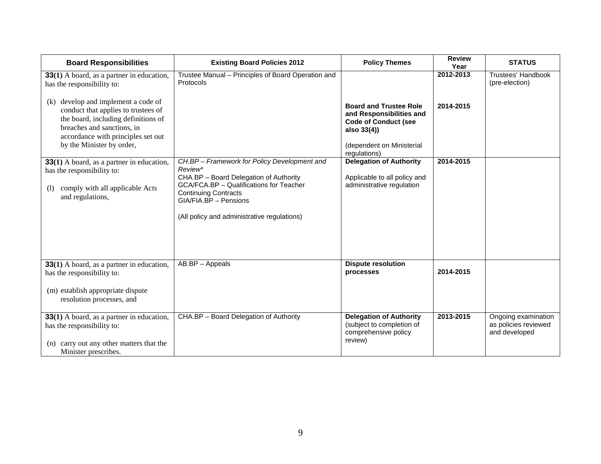| <b>Board Responsibilities</b>                                                                                                                                                                                         | <b>Existing Board Policies 2012</b>                                                             | <b>Policy Themes</b>                                                                                                                                 | <b>Review</b><br>Year | <b>STATUS</b>                                                |
|-----------------------------------------------------------------------------------------------------------------------------------------------------------------------------------------------------------------------|-------------------------------------------------------------------------------------------------|------------------------------------------------------------------------------------------------------------------------------------------------------|-----------------------|--------------------------------------------------------------|
| <b>33(1)</b> A board, as a partner in education,<br>has the responsibility to:                                                                                                                                        | Trustee Manual - Principles of Board Operation and<br>Protocols                                 |                                                                                                                                                      | 2012-2013             | Trustees' Handbook<br>(pre-election)                         |
| develop and implement a code of<br>(k)<br>conduct that applies to trustees of<br>the board, including definitions of<br>breaches and sanctions, in<br>accordance with principles set out<br>by the Minister by order, |                                                                                                 | <b>Board and Trustee Role</b><br>and Responsibilities and<br><b>Code of Conduct (see</b><br>also 33(4))<br>(dependent on Ministerial<br>regulations) | 2014-2015             |                                                              |
| 33(1) A board, as a partner in education,<br>has the responsibility to:                                                                                                                                               | CH.BP - Framework for Policy Development and<br>Review*                                         | <b>Delegation of Authority</b>                                                                                                                       | 2014-2015             |                                                              |
|                                                                                                                                                                                                                       | CHA.BP - Board Delegation of Authority                                                          | Applicable to all policy and                                                                                                                         |                       |                                                              |
| comply with all applicable Acts<br>(1)<br>and regulations,                                                                                                                                                            | GCA/FCA.BP - Qualifications for Teacher<br><b>Continuing Contracts</b><br>GIA/FIA.BP - Pensions | administrative regulation                                                                                                                            |                       |                                                              |
|                                                                                                                                                                                                                       | (All policy and administrative regulations)                                                     |                                                                                                                                                      |                       |                                                              |
| 33(1) A board, as a partner in education,<br>has the responsibility to:                                                                                                                                               | AB.BP - Appeals                                                                                 | <b>Dispute resolution</b><br>processes                                                                                                               | 2014-2015             |                                                              |
| (m) establish appropriate dispute<br>resolution processes, and                                                                                                                                                        |                                                                                                 |                                                                                                                                                      |                       |                                                              |
| 33(1) A board, as a partner in education,<br>has the responsibility to:                                                                                                                                               | CHA.BP - Board Delegation of Authority                                                          | <b>Delegation of Authority</b><br>(subject to completion of<br>comprehensive policy                                                                  | 2013-2015             | Ongoing examination<br>as policies reviewed<br>and developed |
| carry out any other matters that the<br>(n)<br>Minister prescribes.                                                                                                                                                   |                                                                                                 | review)                                                                                                                                              |                       |                                                              |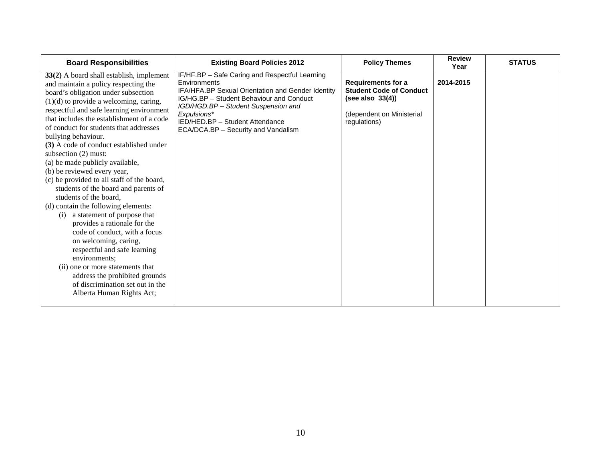| <b>Board Responsibilities</b>                                                                                                                                                                                                                                                                                                                                                                                                                                                                                                                                                                                                                                                                                                                                                                                                                                                                                                                       | <b>Existing Board Policies 2012</b>                                                                                                                                                                                                                                                                    | <b>Policy Themes</b>                                                                                                            | <b>Review</b><br>Year | <b>STATUS</b> |
|-----------------------------------------------------------------------------------------------------------------------------------------------------------------------------------------------------------------------------------------------------------------------------------------------------------------------------------------------------------------------------------------------------------------------------------------------------------------------------------------------------------------------------------------------------------------------------------------------------------------------------------------------------------------------------------------------------------------------------------------------------------------------------------------------------------------------------------------------------------------------------------------------------------------------------------------------------|--------------------------------------------------------------------------------------------------------------------------------------------------------------------------------------------------------------------------------------------------------------------------------------------------------|---------------------------------------------------------------------------------------------------------------------------------|-----------------------|---------------|
| 33(2) A board shall establish, implement<br>and maintain a policy respecting the<br>board's obligation under subsection<br>$(1)(d)$ to provide a welcoming, caring,<br>respectful and safe learning environment<br>that includes the establishment of a code<br>of conduct for students that addresses<br>bullying behaviour.<br>(3) A code of conduct established under<br>subsection $(2)$ must:<br>(a) be made publicly available,<br>(b) be reviewed every year,<br>(c) be provided to all staff of the board,<br>students of the board and parents of<br>students of the board,<br>(d) contain the following elements:<br>a statement of purpose that<br>(i)<br>provides a rationale for the<br>code of conduct, with a focus<br>on welcoming, caring,<br>respectful and safe learning<br>environments;<br>(ii) one or more statements that<br>address the prohibited grounds<br>of discrimination set out in the<br>Alberta Human Rights Act; | IF/HF.BP - Safe Caring and Respectful Learning<br>Environments<br><b>IFA/HFA.BP Sexual Orientation and Gender Identity</b><br>IG/HG.BP - Student Behaviour and Conduct<br>IGD/HGD.BP - Student Suspension and<br>Expulsions*<br>IED/HED.BP - Student Attendance<br>ECA/DCA.BP - Security and Vandalism | <b>Requirements for a</b><br><b>Student Code of Conduct</b><br>(see also $33(4)$ )<br>(dependent on Ministerial<br>regulations) | 2014-2015             |               |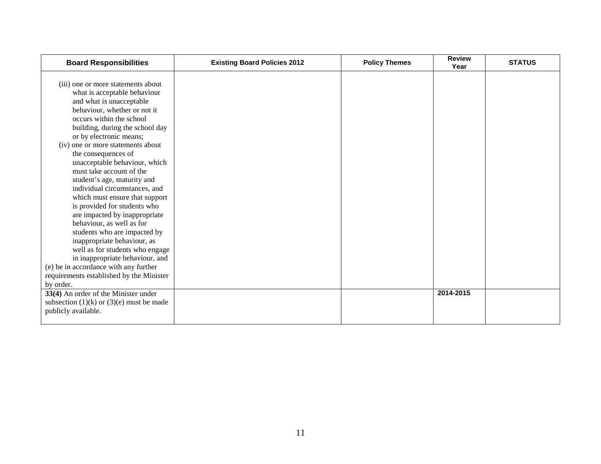| <b>Board Responsibilities</b>                              | <b>Existing Board Policies 2012</b> | <b>Policy Themes</b> | <b>Review</b><br>Year | <b>STATUS</b> |
|------------------------------------------------------------|-------------------------------------|----------------------|-----------------------|---------------|
|                                                            |                                     |                      |                       |               |
| (iii) one or more statements about                         |                                     |                      |                       |               |
| what is acceptable behaviour                               |                                     |                      |                       |               |
| and what is unacceptable<br>behaviour, whether or not it   |                                     |                      |                       |               |
| occurs within the school                                   |                                     |                      |                       |               |
|                                                            |                                     |                      |                       |               |
| building, during the school day<br>or by electronic means; |                                     |                      |                       |               |
| (iv) one or more statements about                          |                                     |                      |                       |               |
| the consequences of                                        |                                     |                      |                       |               |
| unacceptable behaviour, which                              |                                     |                      |                       |               |
| must take account of the                                   |                                     |                      |                       |               |
| student's age, maturity and                                |                                     |                      |                       |               |
| individual circumstances, and                              |                                     |                      |                       |               |
| which must ensure that support                             |                                     |                      |                       |               |
| is provided for students who                               |                                     |                      |                       |               |
| are impacted by inappropriate                              |                                     |                      |                       |               |
| behaviour, as well as for                                  |                                     |                      |                       |               |
| students who are impacted by                               |                                     |                      |                       |               |
| inappropriate behaviour, as                                |                                     |                      |                       |               |
| well as for students who engage                            |                                     |                      |                       |               |
| in inappropriate behaviour, and                            |                                     |                      |                       |               |
| (e) be in accordance with any further                      |                                     |                      |                       |               |
| requirements established by the Minister                   |                                     |                      |                       |               |
| by order.                                                  |                                     |                      |                       |               |
| 33(4) An order of the Minister under                       |                                     |                      | 2014-2015             |               |
| subsection $(1)(k)$ or $(3)(e)$ must be made               |                                     |                      |                       |               |
| publicly available.                                        |                                     |                      |                       |               |
|                                                            |                                     |                      |                       |               |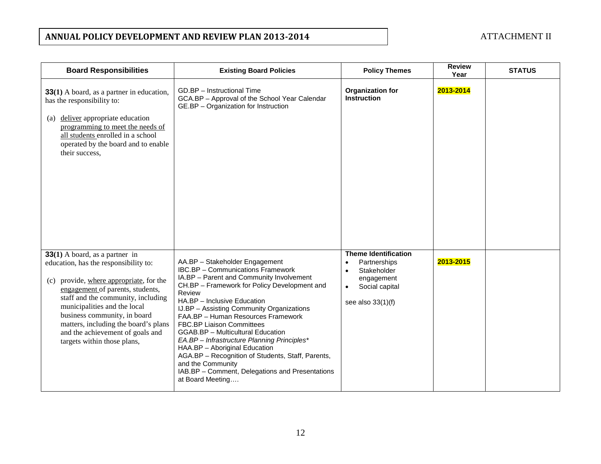# **ANNUAL POLICY DEVELOPMENT AND REVIEW PLAN 2013-2014 ATTACHMENT II**

| <b>Board Responsibilities</b>                                                                                                                                                                                                                                                                                                                                             | <b>Existing Board Policies</b>                                                                                                                                                                                                                                                                                                                                                                                                                                                                                                                                                                                      | <b>Policy Themes</b>                                                                                                                                     | <b>Review</b><br>Year | <b>STATUS</b> |
|---------------------------------------------------------------------------------------------------------------------------------------------------------------------------------------------------------------------------------------------------------------------------------------------------------------------------------------------------------------------------|---------------------------------------------------------------------------------------------------------------------------------------------------------------------------------------------------------------------------------------------------------------------------------------------------------------------------------------------------------------------------------------------------------------------------------------------------------------------------------------------------------------------------------------------------------------------------------------------------------------------|----------------------------------------------------------------------------------------------------------------------------------------------------------|-----------------------|---------------|
| <b>33(1)</b> A board, as a partner in education,<br>has the responsibility to:<br>deliver appropriate education<br>(a)<br>programming to meet the needs of<br>all students enrolled in a school<br>operated by the board and to enable<br>their success,                                                                                                                  | GD.BP - Instructional Time<br>GCA.BP - Approval of the School Year Calendar<br>GE.BP - Organization for Instruction                                                                                                                                                                                                                                                                                                                                                                                                                                                                                                 | <b>Organization for</b><br><b>Instruction</b>                                                                                                            | 2013-2014             |               |
| $33(1)$ A board, as a partner in<br>education, has the responsibility to:<br>(c) provide, where appropriate, for the<br>engagement of parents, students,<br>staff and the community, including<br>municipalities and the local<br>business community, in board<br>matters, including the board's plans<br>and the achievement of goals and<br>targets within those plans, | AA.BP - Stakeholder Engagement<br><b>IBC.BP</b> - Communications Framework<br>IA.BP - Parent and Community Involvement<br>CH.BP - Framework for Policy Development and<br>Review<br>HA.BP - Inclusive Education<br>IJ.BP - Assisting Community Organizations<br>FAA.BP - Human Resources Framework<br><b>FBC.BP Liaison Committees</b><br><b>GGAB.BP</b> - Multicultural Education<br>EA.BP - Infrastructure Planning Principles*<br>HAA.BP - Aboriginal Education<br>AGA.BP - Recognition of Students, Staff, Parents,<br>and the Community<br>IAB.BP - Comment, Delegations and Presentations<br>at Board Meeting | <b>Theme Identification</b><br>Partnerships<br>$\bullet$<br>Stakeholder<br>$\bullet$<br>engagement<br>Social capital<br>$\bullet$<br>see also $33(1)(f)$ | 2013-2015             |               |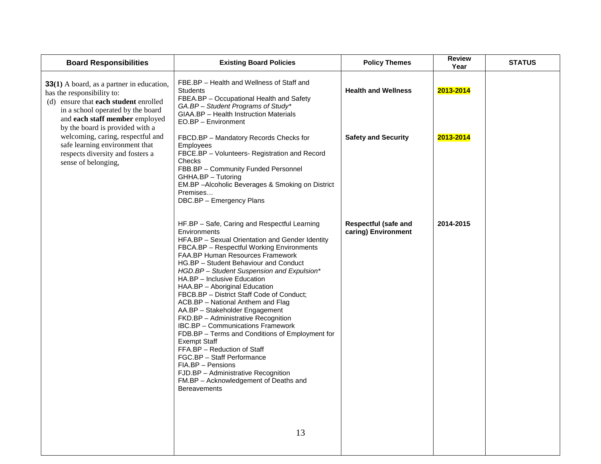| <b>Board Responsibilities</b>                                                                                                                                                                                              | <b>Existing Board Policies</b>                                                                                                                                                                                                                                                                                                                                                                                                                                                                                                                                                                                                                                                                                                                                                                                                           | <b>Policy Themes</b>                               | <b>Review</b><br>Year | <b>STATUS</b> |
|----------------------------------------------------------------------------------------------------------------------------------------------------------------------------------------------------------------------------|------------------------------------------------------------------------------------------------------------------------------------------------------------------------------------------------------------------------------------------------------------------------------------------------------------------------------------------------------------------------------------------------------------------------------------------------------------------------------------------------------------------------------------------------------------------------------------------------------------------------------------------------------------------------------------------------------------------------------------------------------------------------------------------------------------------------------------------|----------------------------------------------------|-----------------------|---------------|
| 33(1) A board, as a partner in education,<br>has the responsibility to:<br>(d) ensure that each student enrolled<br>in a school operated by the board<br>and each staff member employed<br>by the board is provided with a | FBE.BP - Health and Wellness of Staff and<br><b>Students</b><br>FBEA.BP - Occupational Health and Safety<br>GA.BP - Student Programs of Study*<br>GIAA.BP - Health Instruction Materials<br>EO.BP - Environment                                                                                                                                                                                                                                                                                                                                                                                                                                                                                                                                                                                                                          | <b>Health and Wellness</b>                         | 2013-2014             |               |
| welcoming, caring, respectful and<br>safe learning environment that<br>respects diversity and fosters a<br>sense of belonging,                                                                                             | FBCD.BP - Mandatory Records Checks for<br><b>Employees</b><br>FBCE.BP - Volunteers- Registration and Record<br>Checks<br>FBB.BP - Community Funded Personnel<br>GHHA.BP - Tutoring<br>EM.BP - Alcoholic Beverages & Smoking on District<br>Premises<br>DBC.BP - Emergency Plans                                                                                                                                                                                                                                                                                                                                                                                                                                                                                                                                                          | <b>Safety and Security</b>                         | 2013-2014             |               |
|                                                                                                                                                                                                                            | HF.BP - Safe, Caring and Respectful Learning<br>Environments<br>HFA.BP - Sexual Orientation and Gender Identity<br>FBCA.BP - Respectful Working Environments<br><b>FAA.BP Human Resources Framework</b><br>HG.BP - Student Behaviour and Conduct<br>HGD.BP - Student Suspension and Expulsion*<br>HA.BP - Inclusive Education<br>HAA.BP - Aboriginal Education<br>FBCB.BP - District Staff Code of Conduct;<br>ACB.BP - National Anthem and Flag<br>AA.BP - Stakeholder Engagement<br>FKD.BP - Administrative Recognition<br><b>IBC.BP</b> - Communications Framework<br>FDB.BP - Terms and Conditions of Employment for<br><b>Exempt Staff</b><br>FFA.BP - Reduction of Staff<br>FGC.BP - Staff Performance<br>FIA.BP - Pensions<br>FJD.BP - Administrative Recognition<br>FM.BP - Acknowledgement of Deaths and<br><b>Bereavements</b> | <b>Respectful (safe and</b><br>caring) Environment | 2014-2015             |               |
|                                                                                                                                                                                                                            | 13                                                                                                                                                                                                                                                                                                                                                                                                                                                                                                                                                                                                                                                                                                                                                                                                                                       |                                                    |                       |               |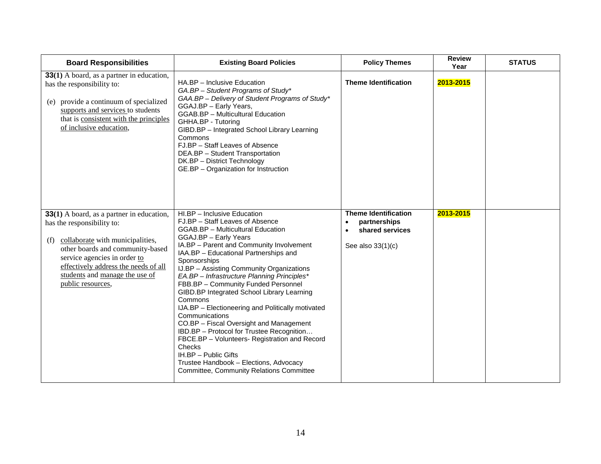| <b>Board Responsibilities</b>                                                                                                                                                                                                                                                         | <b>Existing Board Policies</b>                                                                                                                                                                                                                                                                                                                                                                                                                                                                                                                                                                                                                                                                                                                                                      | <b>Policy Themes</b>                                                                             | <b>Review</b><br>Year | <b>STATUS</b> |
|---------------------------------------------------------------------------------------------------------------------------------------------------------------------------------------------------------------------------------------------------------------------------------------|-------------------------------------------------------------------------------------------------------------------------------------------------------------------------------------------------------------------------------------------------------------------------------------------------------------------------------------------------------------------------------------------------------------------------------------------------------------------------------------------------------------------------------------------------------------------------------------------------------------------------------------------------------------------------------------------------------------------------------------------------------------------------------------|--------------------------------------------------------------------------------------------------|-----------------------|---------------|
| 33(1) A board, as a partner in education,<br>has the responsibility to:<br>(e) provide a continuum of specialized<br>supports and services to students<br>that is consistent with the principles<br>of inclusive education,                                                           | HA.BP - Inclusive Education<br>GA.BP - Student Programs of Study*<br>GAA.BP - Delivery of Student Programs of Study*<br>GGAJ.BP - Early Years,<br>GGAB.BP - Multicultural Education<br>GHHA.BP - Tutoring<br>GIBD.BP - Integrated School Library Learning<br>Commons<br>FJ.BP - Staff Leaves of Absence<br>DEA.BP - Student Transportation<br>DK.BP - District Technology<br>GE.BP - Organization for Instruction                                                                                                                                                                                                                                                                                                                                                                   | <b>Theme Identification</b>                                                                      | 2013-2015             |               |
| 33(1) A board, as a partner in education,<br>has the responsibility to:<br>collaborate with municipalities,<br>(f)<br>other boards and community-based<br>service agencies in order to<br>effectively address the needs of all<br>students and manage the use of<br>public resources, | HI.BP - Inclusive Education<br>FJ.BP - Staff Leaves of Absence<br><b>GGAB.BP</b> - Multicultural Education<br>GGAJ.BP - Early Years<br>IA.BP - Parent and Community Involvement<br>IAA.BP - Educational Partnerships and<br>Sponsorships<br>IJ.BP - Assisting Community Organizations<br>EA.BP - Infrastructure Planning Principles*<br>FBB.BP - Community Funded Personnel<br>GIBD.BP Integrated School Library Learning<br>Commons<br>IJA.BP - Electioneering and Politically motivated<br>Communications<br>CO.BP - Fiscal Oversight and Management<br>IBD.BP - Protocol for Trustee Recognition<br>FBCE.BP - Volunteers- Registration and Record<br>Checks<br>IH.BP - Public Gifts<br>Trustee Handbook - Elections, Advocacy<br><b>Committee, Community Relations Committee</b> | <b>Theme Identification</b><br>partnerships<br>$\bullet$<br>shared services<br>See also 33(1)(c) | 2013-2015             |               |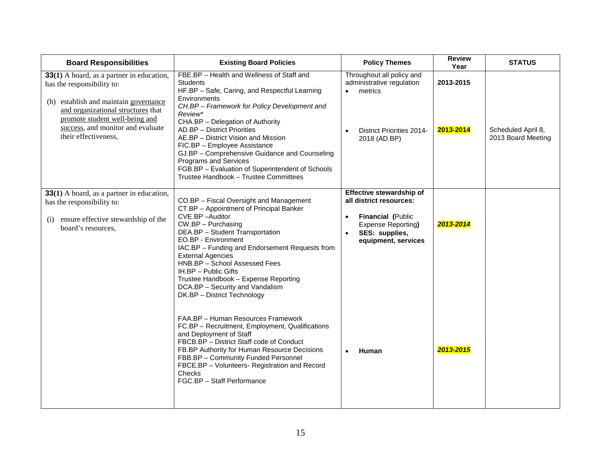| <b>Board Responsibilities</b>                                                                                                                                                                                                                         | <b>Existing Board Policies</b>                                                                                                                                                                                                                                                                                                                                                                                                                                                                            | <b>Policy Themes</b>                                                                                                                                 | <b>Review</b><br>Year  | <b>STATUS</b>                            |
|-------------------------------------------------------------------------------------------------------------------------------------------------------------------------------------------------------------------------------------------------------|-----------------------------------------------------------------------------------------------------------------------------------------------------------------------------------------------------------------------------------------------------------------------------------------------------------------------------------------------------------------------------------------------------------------------------------------------------------------------------------------------------------|------------------------------------------------------------------------------------------------------------------------------------------------------|------------------------|------------------------------------------|
| 33(1) A board, as a partner in education,<br>has the responsibility to:<br>(h) establish and maintain governance<br>and organizational structures that<br>promote student well-being and<br>success, and monitor and evaluate<br>their effectiveness, | FBE.BP - Health and Wellness of Staff and<br><b>Students</b><br>HF.BP - Safe, Caring, and Respectful Learning<br>Environments<br>CH.BP - Framework for Policy Development and<br>Review*<br>CHA.BP - Delegation of Authority<br>AD.BP - District Priorities<br>AE.BP - District Vision and Mission<br>FIC.BP - Employee Assistance<br>GJ.BP - Comprehensive Guidance and Counseling<br>Programs and Services<br>FGB.BP - Evaluation of Superintendent of Schools<br>Trustee Handbook - Trustee Committees | Throughout all policy and<br>administrative regulation<br>metrics<br>$\bullet$<br><b>District Priorities 2014-</b><br>2018 (AD.BP)                   | 2013-2015<br>2013-2014 | Scheduled April 8,<br>2013 Board Meeting |
| 33(1) A board, as a partner in education,<br>has the responsibility to:<br>ensure effective stewardship of the<br>(i)<br>board's resources,                                                                                                           | CO.BP - Fiscal Oversight and Management<br>CT.BP - Appointment of Principal Banker<br>CVE.BP-Auditor<br>$CW.BP - Purchasing$<br>DEA.BP - Student Transportation<br>EO.BP - Environment<br>IAC.BP - Funding and Endorsement Requests from<br><b>External Agencies</b><br>HNB.BP - School Assessed Fees<br>IH.BP - Public Gifts<br>Trustee Handbook - Expense Reporting<br>DCA.BP - Security and Vandalism<br>DK.BP - District Technology                                                                   | Effective stewardship of<br>all district resources:<br>Financial (Public<br>$\bullet$<br>Expense Reporting)<br>SES: supplies,<br>equipment, services | 2013-2014              |                                          |
|                                                                                                                                                                                                                                                       | FAA.BP - Human Resources Framework<br>FC.BP - Recruitment, Employment, Qualifications<br>and Deployment of Staff<br>FBCB.BP - District Staff code of Conduct<br>FB.BP Authority for Human Resource Decisions<br>FBB.BP - Community Funded Personnel<br>FBCE.BP - Volunteers- Registration and Record<br>Checks<br>FGC.BP - Staff Performance                                                                                                                                                              | Human                                                                                                                                                | 2013-2015              |                                          |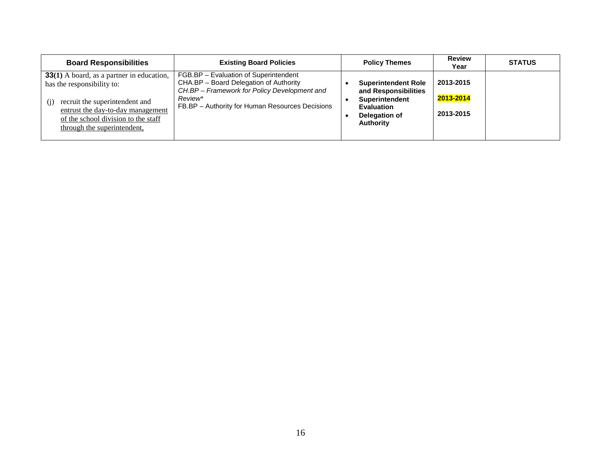| <b>Board Responsibilities</b>                                                                                                                                                                                                      | <b>Existing Board Policies</b>                                                                                                                                                                | <b>Policy Themes</b>                                                                                                           | <b>Review</b><br>Year               | <b>STATUS</b> |
|------------------------------------------------------------------------------------------------------------------------------------------------------------------------------------------------------------------------------------|-----------------------------------------------------------------------------------------------------------------------------------------------------------------------------------------------|--------------------------------------------------------------------------------------------------------------------------------|-------------------------------------|---------------|
| <b>33(1)</b> A board, as a partner in education,<br>has the responsibility to:<br>recruit the superintendent and<br>(i)<br>entrust the day-to-day management<br>of the school division to the staff<br>through the superintendent, | FGB.BP - Evaluation of Superintendent<br>CHA.BP - Board Delegation of Authority<br>CH.BP - Framework for Policy Development and<br>Review*<br>FB.BP - Authority for Human Resources Decisions | <b>Superintendent Role</b><br>and Responsibilities<br>Superintendent<br><b>Evaluation</b><br>Delegation of<br><b>Authority</b> | 2013-2015<br>2013-2014<br>2013-2015 |               |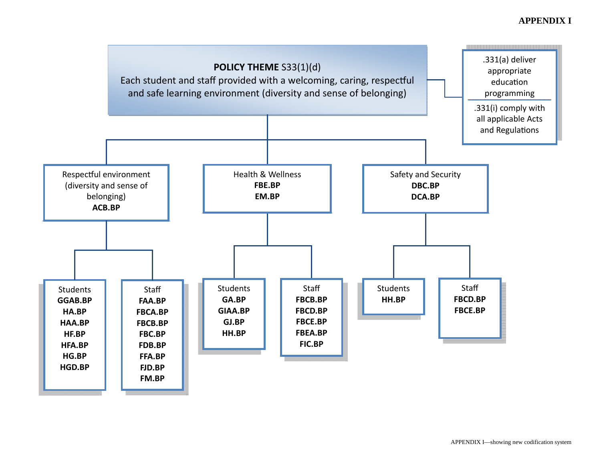# **APPENDIX I**

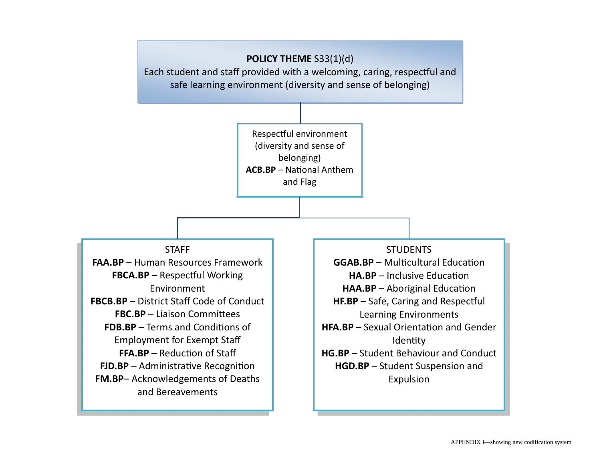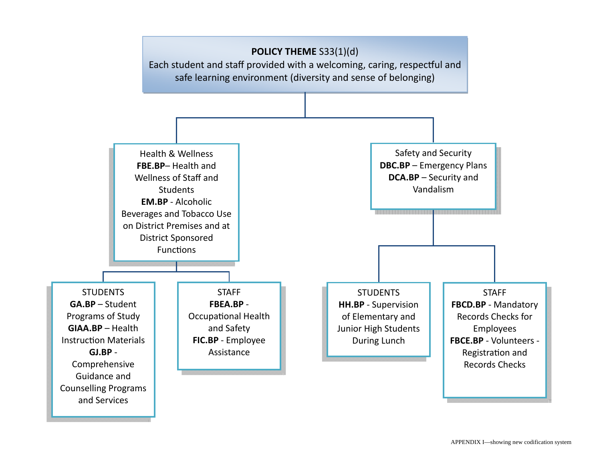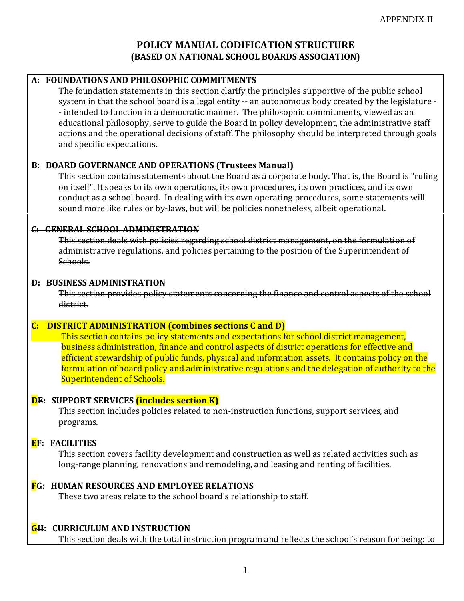# **POLICY MANUAL CODIFICATION STRUCTURE (BASED ON NATIONAL SCHOOL BOARDS ASSOCIATION)**

# **A: FOUNDATIONS AND PHILOSOPHIC COMMITMENTS**

The foundation statements in this section clarify the principles supportive of the public school system in that the school board is a legal entity -- an autonomous body created by the legislature - - intended to function in a democratic manner. The philosophic commitments, viewed as an educational philosophy, serve to guide the Board in policy development, the administrative staff actions and the operational decisions of staff. The philosophy should be interpreted through goals and specific expectations.

# **B: BOARD GOVERNANCE AND OPERATIONS (Trustees Manual)**

This section contains statements about the Board as a corporate body. That is, the Board is "ruling on itself". It speaks to its own operations, its own procedures, its own practices, and its own conduct as a school board. In dealing with its own operating procedures, some statements will sound more like rules or by-laws, but will be policies nonetheless, albeit operational.

# **C: GENERAL SCHOOL ADMINISTRATION**

This section deals with policies regarding school district management, on the formulation of administrative regulations, and policies pertaining to the position of the Superintendent of Schools.

# **D: BUSINESS ADMINISTRATION**

This section provides policy statements concerning the finance and control aspects of the school district.

# **C: DISTRICT ADMINISTRATION (combines sections C and D)**

This section contains policy statements and expectations for school district management, business administration, finance and control aspects of district operations for effective and efficient stewardship of public funds, physical and information assets. It contains policy on the formulation of board policy and administrative regulations and the delegation of authority to the Superintendent of Schools.

# **DE: SUPPORT SERVICES (includes section K)**

This section includes policies related to non-instruction functions, support services, and programs.

# **EF: FACILITIES**

This section covers facility development and construction as well as related activities such as long-range planning, renovations and remodeling, and leasing and renting of facilities.

# **FG: HUMAN RESOURCES AND EMPLOYEE RELATIONS**

These two areas relate to the school board's relationship to staff.

# **GH: CURRICULUM AND INSTRUCTION**

This section deals with the total instruction program and reflects the school's reason for being: to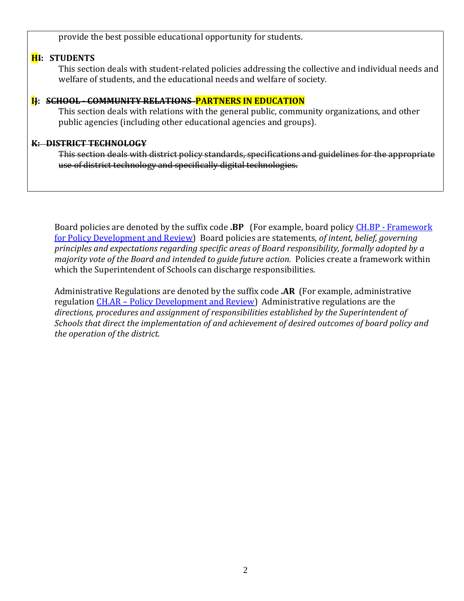provide the best possible educational opportunity for students.

# **HI: STUDENTS**

This section deals with student-related policies addressing the collective and individual needs and welfare of students, and the educational needs and welfare of society.

# **IJ: SCHOOL - COMMUNITY RELATIONS PARTNERS IN EDUCATION**

This section deals with relations with the general public, community organizations, and other public agencies (including other educational agencies and groups).

## **K: DISTRICT TECHNOLOGY**

This section deals with district policy standards, specifications and guidelines for the appropriate use of district technology and specifically digital technologies.

Board policies are denoted by the suffix code **.BP** (For example, board policy CH.BP - [Framework](http://epsb.ca/policy/ch.bp.shtml)  [for Policy Development and Review\)](http://epsb.ca/policy/ch.bp.shtml) Board policies are statements, *of intent, belief, governing principles and expectations regarding specific areas of Board responsibility, formally adopted by a majority vote of the Board and intended to guide future action.* Policies create a framework within which the Superintendent of Schools can discharge responsibilities.

Administrative Regulations are denoted by the suffix code **.AR** (For example, administrative regulation CH.AR – [Policy Development and Review\)](http://epsb.ca/policy/ch.ar.shtml) Administrative regulations are the *directions, procedures and assignment of responsibilities established by the Superintendent of Schools that direct the implementation of and achievement of desired outcomes of board policy and the operation of the district.*